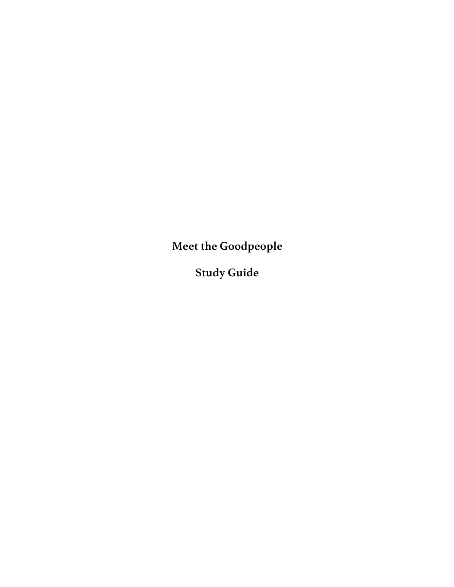**Meet the Goodpeople**

**Study Guide**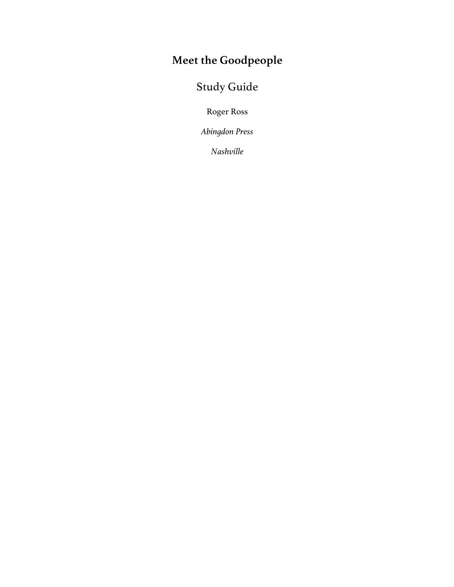# **Meet the Goodpeople**

# Study Guide

Roger Ross

*Abingdon Press*

*Nashville*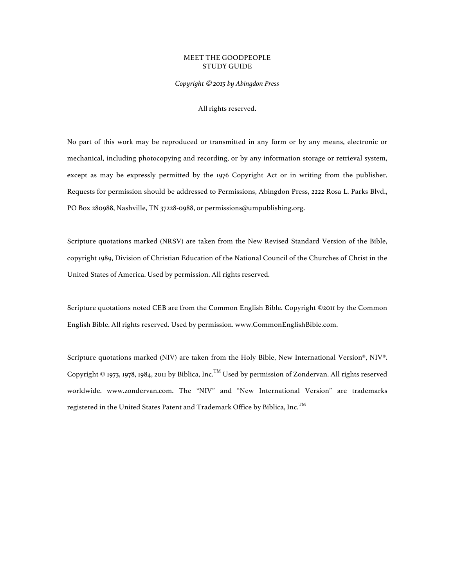#### MEET THE GOODPEOPLE STUDY GUIDE

*Copyright* © *2015 by Abingdon Press*

#### All rights reserved.

No part of this work may be reproduced or transmitted in any form or by any means, electronic or mechanical, including photocopying and recording, or by any information storage or retrieval system, except as may be expressly permitted by the 1976 Copyright Act or in writing from the publisher. Requests for permission should be addressed to Permissions, Abingdon Press, 2222 Rosa L. Parks Blvd., PO Box 280988, Nashville, TN 37228-0988, or permissions@umpublishing.org.

Scripture quotations marked (NRSV) are taken from the New Revised Standard Version of the Bible, copyright 1989, Division of Christian Education of the National Council of the Churches of Christ in the United States of America. Used by permission. All rights reserved.

Scripture quotations noted CEB are from the Common English Bible. Copyright ©2011 by the Common English Bible. All rights reserved. Used by permission. www.CommonEnglishBible.com.

Scripture quotations marked (NIV) are taken from the Holy Bible, New International Version®, NIV®. Copyright © 1973, 1978, 1984, 2011 by Biblica, Inc.<sup>TM</sup> Used by permission of Zondervan. All rights reserved worldwide. www.zondervan.com. The "NIV" and "New International Version" are trademarks registered in the United States Patent and Trademark Office by Biblica, Inc.TM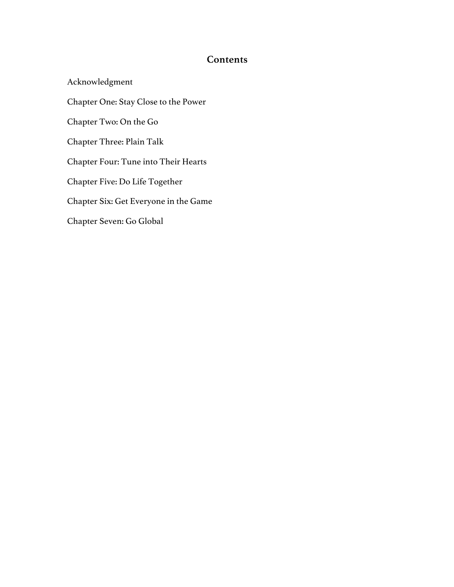#### **Contents**

Acknowledgment Chapter One: Stay Close to the Power Chapter Two: On the Go Chapter Three: Plain Talk Chapter Four: Tune into Their Hearts Chapter Five: Do Life Together Chapter Six: Get Everyone in the Game Chapter Seven: Go Global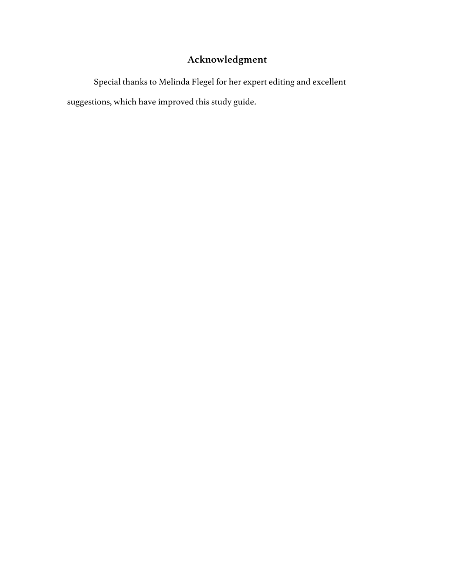# **Acknowledgment**

Special thanks to Melinda Flegel for her expert editing and excellent suggestions, which have improved this study guide.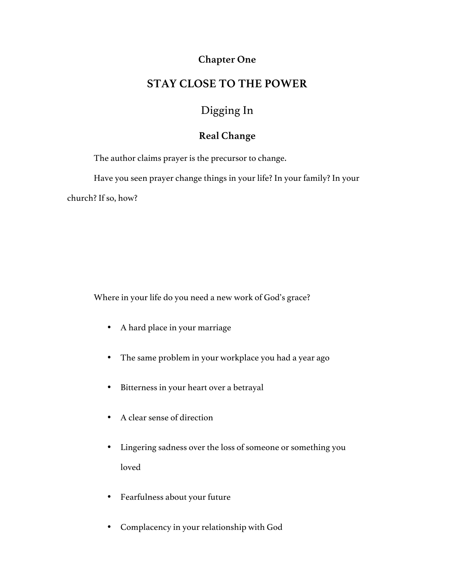### **Chapter One**

## **STAY CLOSE TO THE POWER**

## Digging In

## **Real Change**

The author claims prayer is the precursor to change.

Have you seen prayer change things in your life? In your family? In your church? If so, how?

Where in your life do you need a new work of God's grace?

- A hard place in your marriage
- The same problem in your workplace you had a year ago
- Bitterness in your heart over a betrayal
- A clear sense of direction
- Lingering sadness over the loss of someone or something you loved
- Fearfulness about your future
- Complacency in your relationship with God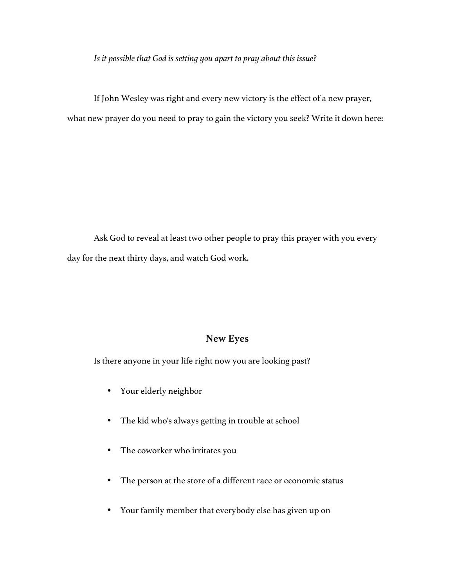*Is it possible that God is setting you apart to pray about this issue?*

If John Wesley was right and every new victory is the effect of a new prayer, what new prayer do you need to pray to gain the victory you seek? Write it down here:

Ask God to reveal at least two other people to pray this prayer with you every day for the next thirty days, and watch God work.

## **New Eyes**

Is there anyone in your life right now you are looking past?

- Your elderly neighbor
- The kid who's always getting in trouble at school
- The coworker who irritates you
- The person at the store of a different race or economic status
- Your family member that everybody else has given up on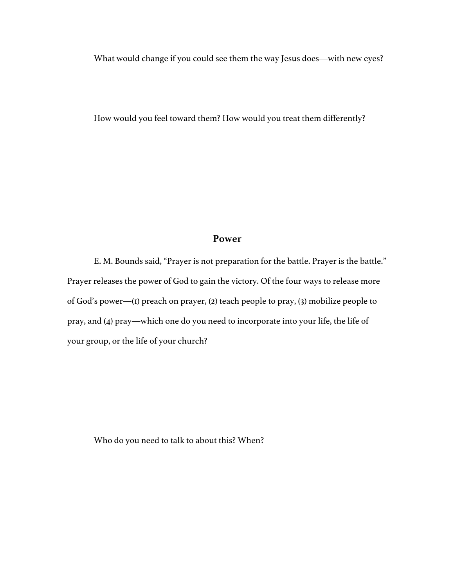What would change if you could see them the way Jesus does—with new eyes?

How would you feel toward them? How would you treat them differently?

#### **Power**

E. M. Bounds said, "Prayer is not preparation for the battle. Prayer is the battle." Prayer releases the power of God to gain the victory. Of the four ways to release more of God's power—(1) preach on prayer, (2) teach people to pray, (3) mobilize people to pray, and (4) pray—which one do you need to incorporate into your life, the life of your group, or the life of your church?

Who do you need to talk to about this? When?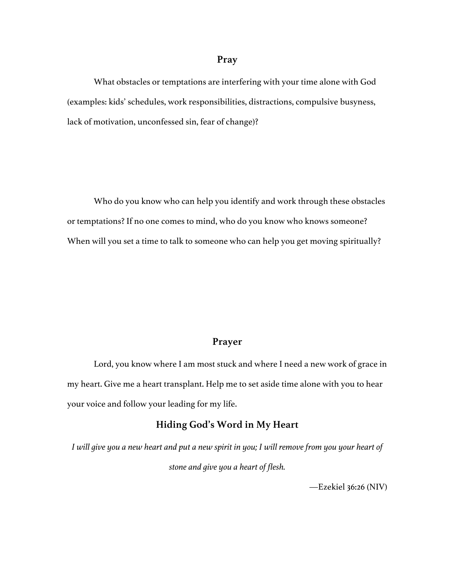#### **Pray**

What obstacles or temptations are interfering with your time alone with God (examples: kids' schedules, work responsibilities, distractions, compulsive busyness, lack of motivation, unconfessed sin, fear of change)?

Who do you know who can help you identify and work through these obstacles or temptations? If no one comes to mind, who do you know who knows someone? When will you set a time to talk to someone who can help you get moving spiritually?

#### **Prayer**

Lord, you know where I am most stuck and where I need a new work of grace in my heart. Give me a heart transplant. Help me to set aside time alone with you to hear your voice and follow your leading for my life.

#### **Hiding God's Word in My Heart**

*I will give you a new heart and put a new spirit in you; I will remove from you your heart of stone and give you a heart of flesh.*

—Ezekiel 36:26 (NIV)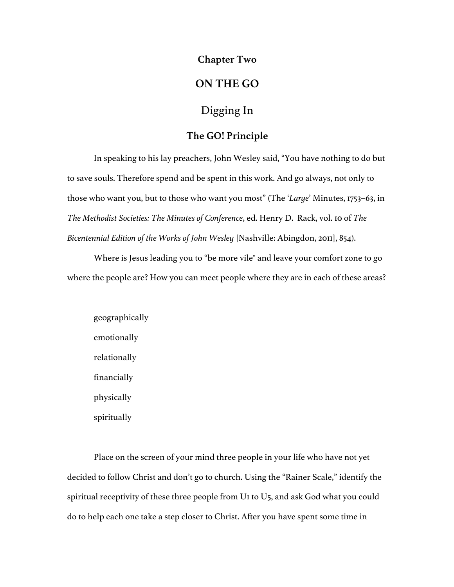#### **Chapter Two**

## **ON THE GO**

### Digging In

#### **The GO! Principle**

In speaking to his lay preachers, John Wesley said, "You have nothing to do but to save souls. Therefore spend and be spent in this work. And go always, not only to those who want you, but to those who want you most" (The '*Large*' Minutes, 1753–63, in *The Methodist Societies: The Minutes of Conference*, ed. Henry D. Rack, vol. 10 of *The Bicentennial Edition of the Works of John Wesley* [Nashville: Abingdon, 2011], 854).

Where is Jesus leading you to "be more vile" and leave your comfort zone to go where the people are? How you can meet people where they are in each of these areas?

geographically emotionally relationally financially physically spiritually

Place on the screen of your mind three people in your life who have not yet decided to follow Christ and don't go to church. Using the "Rainer Scale," identify the spiritual receptivity of these three people from U1 to U5, and ask God what you could do to help each one take a step closer to Christ. After you have spent some time in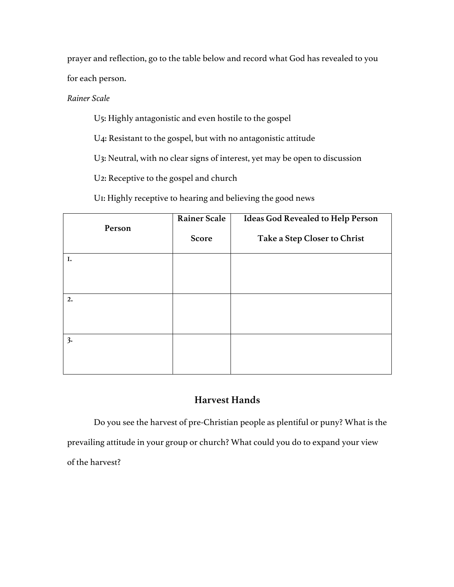prayer and reflection, go to the table below and record what God has revealed to you for each person.

*Rainer Scale*

U5: Highly antagonistic and even hostile to the gospel

U4: Resistant to the gospel, but with no antagonistic attitude

U3: Neutral, with no clear signs of interest, yet may be open to discussion

U2: Receptive to the gospel and church

U1: Highly receptive to hearing and believing the good news

| Person | <b>Rainer Scale</b> | Ideas God Revealed to Help Person |  |
|--------|---------------------|-----------------------------------|--|
|        | Score               | Take a Step Closer to Christ      |  |
| I.     |                     |                                   |  |
|        |                     |                                   |  |
| 2.     |                     |                                   |  |
|        |                     |                                   |  |
| 3.     |                     |                                   |  |
|        |                     |                                   |  |

#### **Harvest Hands**

Do you see the harvest of pre-Christian people as plentiful or puny? What is the prevailing attitude in your group or church? What could you do to expand your view of the harvest?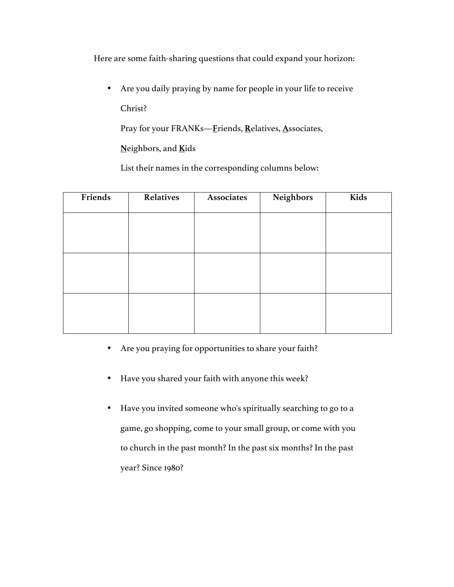Here are some faith-sharing questions that could expand your horizon:

• Are you daily praying by name for people in your life to receive

Christ?

Pray for your FRANKs—**F**riends, **R**elatives, **A**ssociates,

**N**eighbors, and **K**ids

List their names in the corresponding columns below:

| Friends | <b>Relatives</b> | Associates | Neighbors | Kids |
|---------|------------------|------------|-----------|------|
|         |                  |            |           |      |
|         |                  |            |           |      |
|         |                  |            |           |      |
|         |                  |            |           |      |
|         |                  |            |           |      |
|         |                  |            |           |      |
|         |                  |            |           |      |

- Are you praying for opportunities to share your faith?
- Have you shared your faith with anyone this week?
- Have you invited someone who's spiritually searching to go to a game, go shopping, come to your small group, or come with you to church in the past month? In the past six months? In the past year? Since 1980?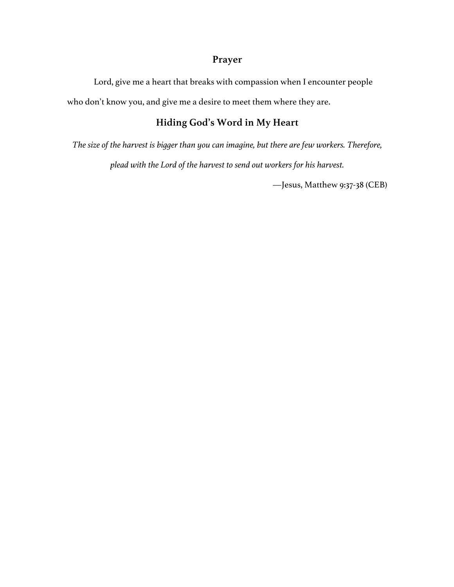### **Prayer**

Lord, give me a heart that breaks with compassion when I encounter people who don't know you, and give me a desire to meet them where they are.

### **Hiding God's Word in My Heart**

*The size of the harvest is bigger than you can imagine, but there are few workers. Therefore, plead with the Lord of the harvest to send out workers for his harvest.*

—Jesus, Matthew 9:37-38 (CEB)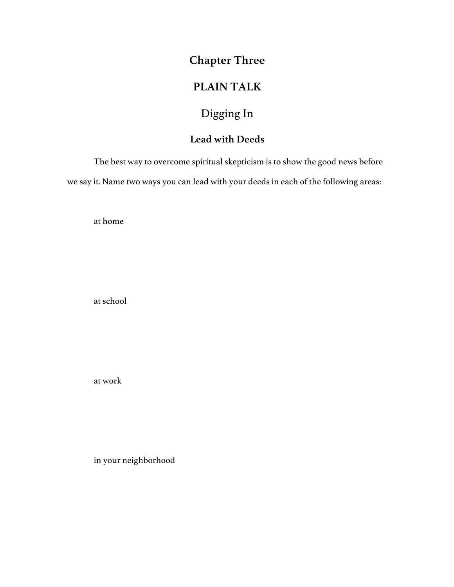# **Chapter Three**

## **PLAIN TALK**

# Digging In

## **Lead with Deeds**

The best way to overcome spiritual skepticism is to show the good news before we say it. Name two ways you can lead with your deeds in each of the following areas:

at home

at school

at work

in your neighborhood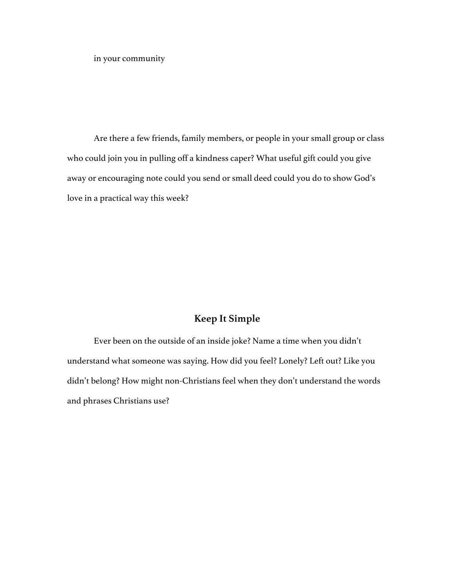in your community

Are there a few friends, family members, or people in your small group or class who could join you in pulling off a kindness caper? What useful gift could you give away or encouraging note could you send or small deed could you do to show God's love in a practical way this week?

### **Keep It Simple**

Ever been on the outside of an inside joke? Name a time when you didn't understand what someone was saying. How did you feel? Lonely? Left out? Like you didn't belong? How might non-Christians feel when they don't understand the words and phrases Christians use?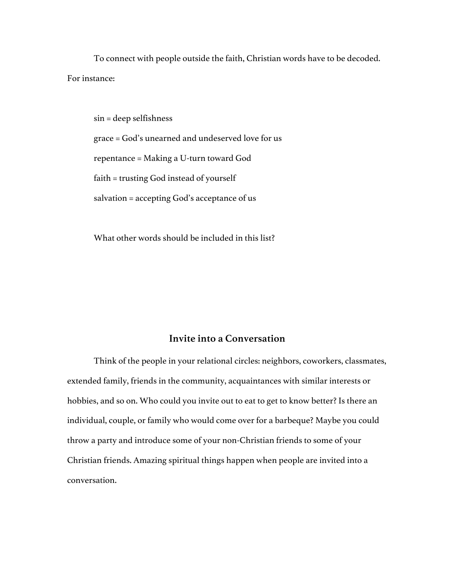To connect with people outside the faith, Christian words have to be decoded. For instance:

sin = deep selfishness grace = God's unearned and undeserved love for us repentance = Making a U-turn toward God faith = trusting God instead of yourself salvation = accepting God's acceptance of us

What other words should be included in this list?

#### **Invite into a Conversation**

Think of the people in your relational circles: neighbors, coworkers, classmates, extended family, friends in the community, acquaintances with similar interests or hobbies, and so on. Who could you invite out to eat to get to know better? Is there an individual, couple, or family who would come over for a barbeque? Maybe you could throw a party and introduce some of your non-Christian friends to some of your Christian friends. Amazing spiritual things happen when people are invited into a conversation.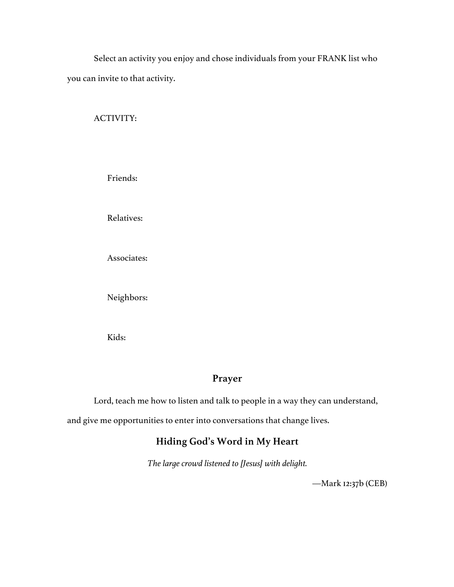Select an activity you enjoy and chose individuals from your FRANK list who you can invite to that activity.

ACTIVITY:

Friends:

Relatives:

Associates:

Neighbors:

Kids:

#### **Prayer**

Lord, teach me how to listen and talk to people in a way they can understand,

and give me opportunities to enter into conversations that change lives.

## **Hiding God's Word in My Heart**

*The large crowd listened to [Jesus] with delight.*

—Mark 12:37b (CEB)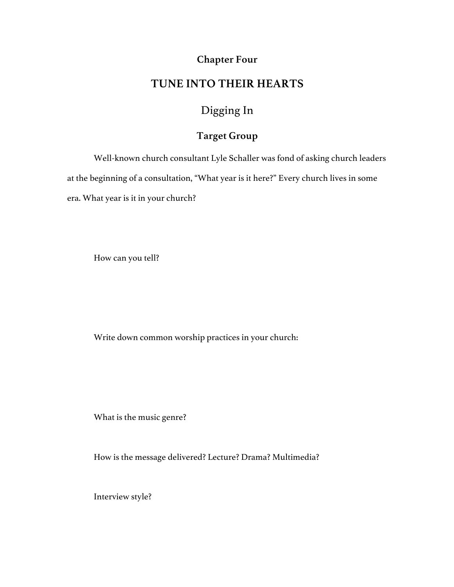### **Chapter Four**

## **TUNE INTO THEIR HEARTS**

## Digging In

## **Target Group**

Well-known church consultant Lyle Schaller was fond of asking church leaders at the beginning of a consultation, "What year is it here?" Every church lives in some era. What year is it in your church?

How can you tell?

Write down common worship practices in your church:

What is the music genre?

How is the message delivered? Lecture? Drama? Multimedia?

Interview style?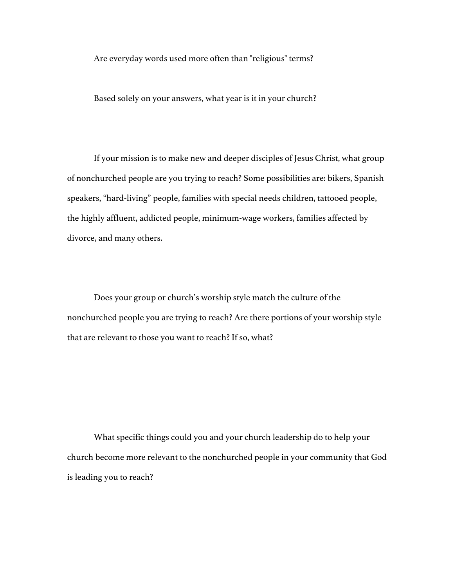Are everyday words used more often than "religious" terms?

Based solely on your answers, what year is it in your church?

If your mission is to make new and deeper disciples of Jesus Christ, what group of nonchurched people are you trying to reach? Some possibilities are: bikers, Spanish speakers, "hard-living" people, families with special needs children, tattooed people, the highly affluent, addicted people, minimum-wage workers, families affected by divorce, and many others.

Does your group or church's worship style match the culture of the nonchurched people you are trying to reach? Are there portions of your worship style that are relevant to those you want to reach? If so, what?

What specific things could you and your church leadership do to help your church become more relevant to the nonchurched people in your community that God is leading you to reach?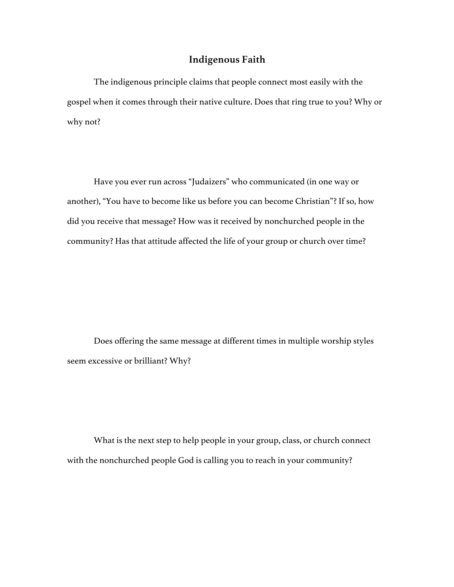#### **Indigenous Faith**

The indigenous principle claims that people connect most easily with the gospel when it comes through their native culture. Does that ring true to you? Why or why not?

Have you ever run across "Judaizers" who communicated (in one way or another), "You have to become like us before you can become Christian"? If so, how did you receive that message? How was it received by nonchurched people in the community? Has that attitude affected the life of your group or church over time?

Does offering the same message at different times in multiple worship styles seem excessive or brilliant? Why?

What is the next step to help people in your group, class, or church connect with the nonchurched people God is calling you to reach in your community?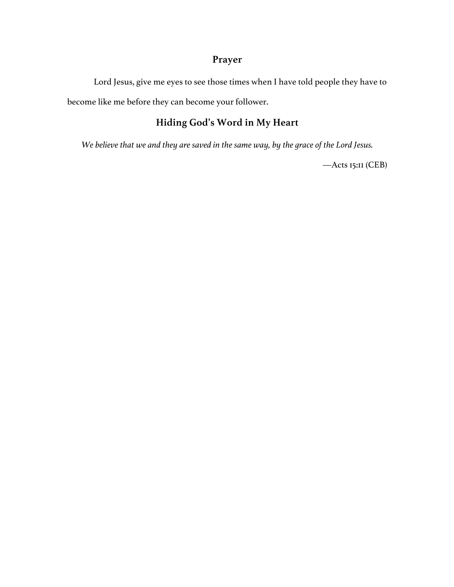## **Prayer**

Lord Jesus, give me eyes to see those times when I have told people they have to become like me before they can become your follower.

### **Hiding God's Word in My Heart**

*We believe that we and they are saved in the same way, by the grace of the Lord Jesus.*

—Acts 15:11 (CEB)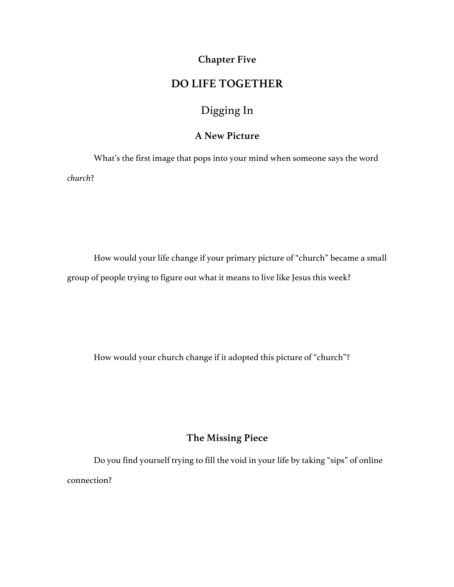## **Chapter Five**

# **DO LIFE TOGETHER**

## Digging In

#### **A New Picture**

What's the first image that pops into your mind when someone says the word *church*?

How would your life change if your primary picture of "church" became a small group of people trying to figure out what it means to live like Jesus this week?

How would your church change if it adopted this picture of "church"?

### **The Missing Piece**

Do you find yourself trying to fill the void in your life by taking "sips" of online connection?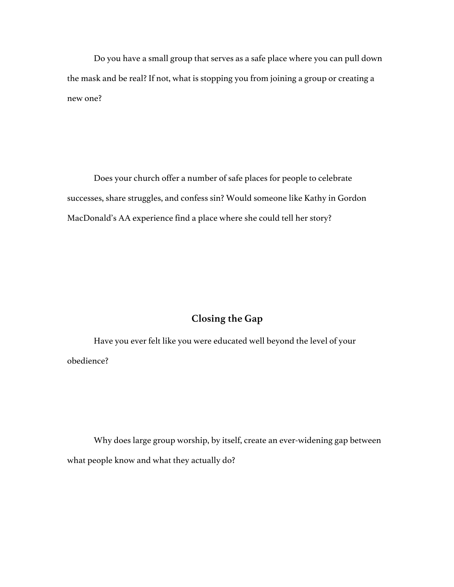Do you have a small group that serves as a safe place where you can pull down the mask and be real? If not, what is stopping you from joining a group or creating a new one?

Does your church offer a number of safe places for people to celebrate successes, share struggles, and confess sin? Would someone like Kathy in Gordon MacDonald's AA experience find a place where she could tell her story?

### **Closing the Gap**

Have you ever felt like you were educated well beyond the level of your obedience?

Why does large group worship, by itself, create an ever-widening gap between what people know and what they actually do?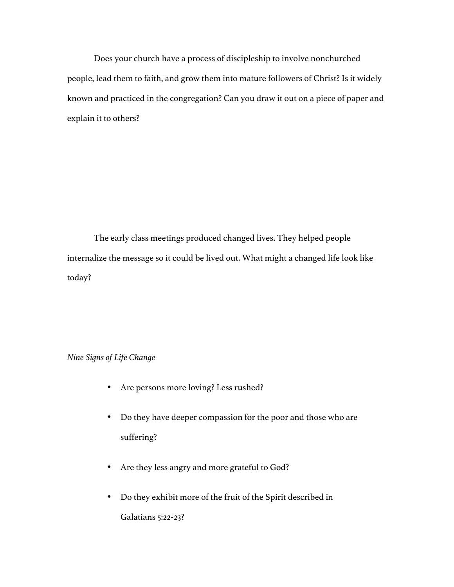Does your church have a process of discipleship to involve nonchurched people, lead them to faith, and grow them into mature followers of Christ? Is it widely known and practiced in the congregation? Can you draw it out on a piece of paper and explain it to others?

The early class meetings produced changed lives. They helped people internalize the message so it could be lived out. What might a changed life look like today?

#### *Nine Signs of Life Change*

- Are persons more loving? Less rushed?
- Do they have deeper compassion for the poor and those who are suffering?
- Are they less angry and more grateful to God?
- Do they exhibit more of the fruit of the Spirit described in Galatians 5:22-23?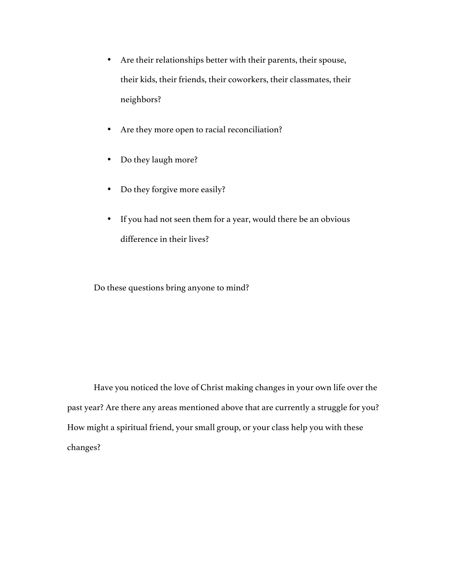- Are their relationships better with their parents, their spouse, their kids, their friends, their coworkers, their classmates, their neighbors?
- Are they more open to racial reconciliation?
- Do they laugh more?
- Do they forgive more easily?
- If you had not seen them for a year, would there be an obvious difference in their lives?

Do these questions bring anyone to mind?

Have you noticed the love of Christ making changes in your own life over the past year? Are there any areas mentioned above that are currently a struggle for you? How might a spiritual friend, your small group, or your class help you with these changes?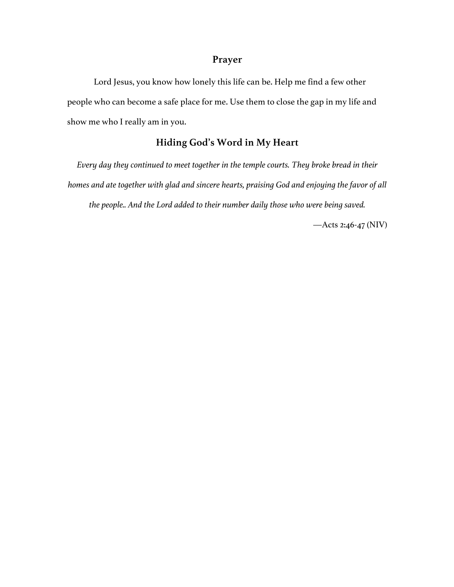#### **Prayer**

Lord Jesus, you know how lonely this life can be. Help me find a few other people who can become a safe place for me. Use them to close the gap in my life and show me who I really am in you.

#### **Hiding God's Word in My Heart**

*Every day they continued to meet together in the temple courts. They broke bread in their homes and ate together with glad and sincere hearts, praising God and enjoying the favor of all the people.. And the Lord added to their number daily those who were being saved.*

—Acts 2:46-47 (NIV)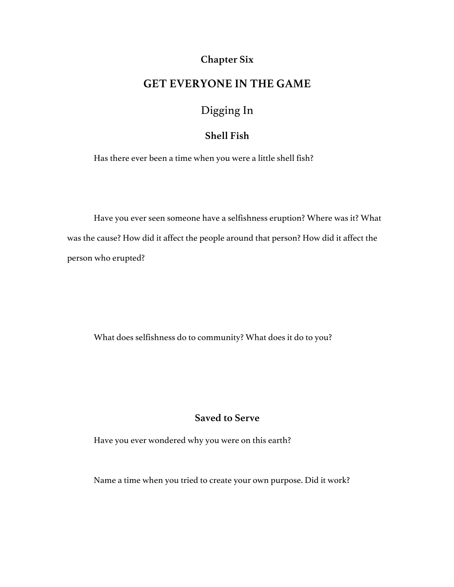#### **Chapter Six**

## **GET EVERYONE IN THE GAME**

## Digging In

#### **Shell Fish**

Has there ever been a time when you were a little shell fish?

Have you ever seen someone have a selfishness eruption? Where was it? What was the cause? How did it affect the people around that person? How did it affect the person who erupted?

What does selfishness do to community? What does it do to you?

#### **Saved to Serve**

Have you ever wondered why you were on this earth?

Name a time when you tried to create your own purpose. Did it work?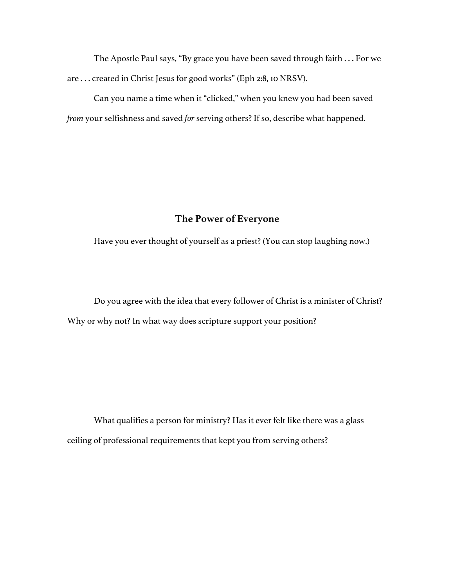The Apostle Paul says, "By grace you have been saved through faith . . . For we are . . . created in Christ Jesus for good works" (Eph 2:8, 10 NRSV).

Can you name a time when it "clicked," when you knew you had been saved *from* your selfishness and saved *for* serving others? If so, describe what happened.

#### **The Power of Everyone**

Have you ever thought of yourself as a priest? (You can stop laughing now.)

Do you agree with the idea that every follower of Christ is a minister of Christ? Why or why not? In what way does scripture support your position?

What qualifies a person for ministry? Has it ever felt like there was a glass ceiling of professional requirements that kept you from serving others?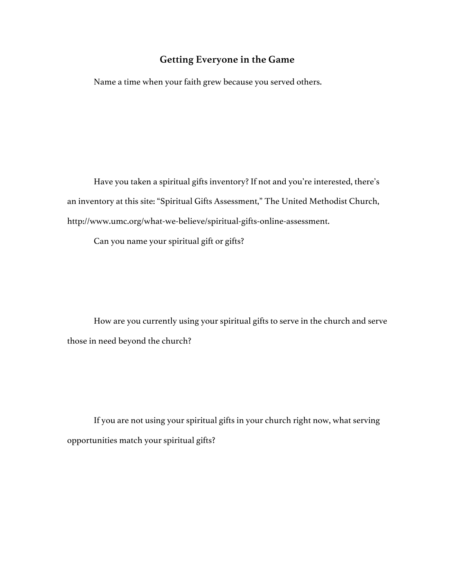#### **Getting Everyone in the Game**

Name a time when your faith grew because you served others.

Have you taken a spiritual gifts inventory? If not and you're interested, there's an inventory at this site: "Spiritual Gifts Assessment," The United Methodist Church, http://www.umc.org/what-we-believe/spiritual-gifts-online-assessment.

Can you name your spiritual gift or gifts?

How are you currently using your spiritual gifts to serve in the church and serve those in need beyond the church?

If you are not using your spiritual gifts in your church right now, what serving opportunities match your spiritual gifts?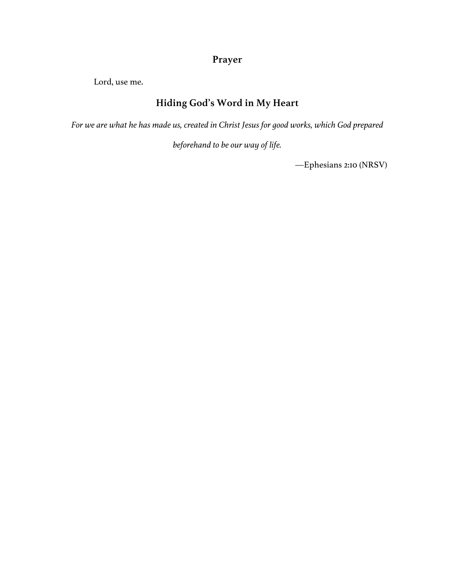## **Prayer**

Lord, use me.

## **Hiding God's Word in My Heart**

*For we are what he has made us, created in Christ Jesus for good works, which God prepared* 

*beforehand to be our way of life.*

—Ephesians 2:10 (NRSV)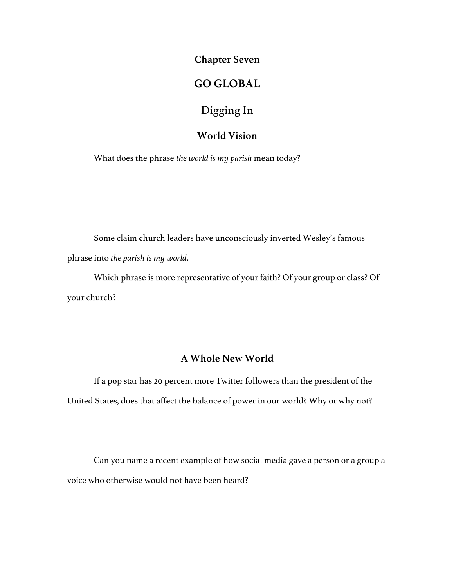**Chapter Seven**

## **GO GLOBAL**

## Digging In

#### **World Vision**

What does the phrase *the world is my parish* mean today?

Some claim church leaders have unconsciously inverted Wesley's famous phrase into *the parish is my world*.

Which phrase is more representative of your faith? Of your group or class? Of your church?

#### **A Whole New World**

If a pop star has 20 percent more Twitter followers than the president of the United States, does that affect the balance of power in our world? Why or why not?

Can you name a recent example of how social media gave a person or a group a voice who otherwise would not have been heard?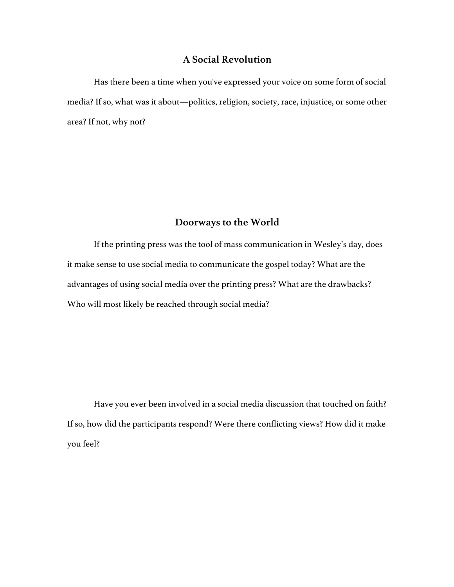#### **A Social Revolution**

Has there been a time when you've expressed your voice on some form of social media? If so, what was it about—politics, religion, society, race, injustice, or some other area? If not, why not?

#### **Doorways to the World**

If the printing press was the tool of mass communication in Wesley's day, does it make sense to use social media to communicate the gospel today? What are the advantages of using social media over the printing press? What are the drawbacks? Who will most likely be reached through social media?

Have you ever been involved in a social media discussion that touched on faith? If so, how did the participants respond? Were there conflicting views? How did it make you feel?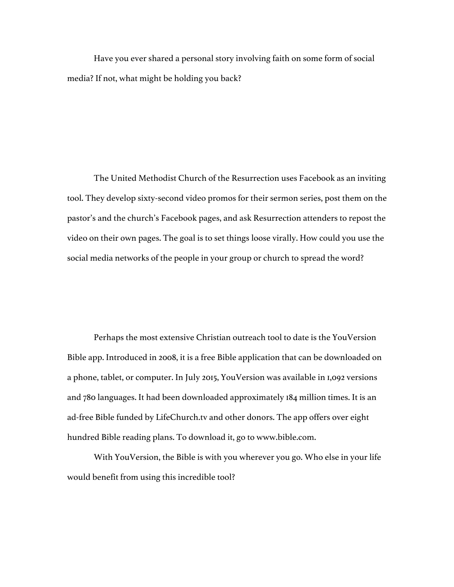Have you ever shared a personal story involving faith on some form of social media? If not, what might be holding you back?

The United Methodist Church of the Resurrection uses Facebook as an inviting tool. They develop sixty-second video promos for their sermon series, post them on the pastor's and the church's Facebook pages, and ask Resurrection attenders to repost the video on their own pages. The goal is to set things loose virally. How could you use the social media networks of the people in your group or church to spread the word?

Perhaps the most extensive Christian outreach tool to date is the YouVersion Bible app. Introduced in 2008, it is a free Bible application that can be downloaded on a phone, tablet, or computer. In July 2015, YouVersion was available in 1,092 versions and 780 languages. It had been downloaded approximately 184 million times. It is an ad-free Bible funded by LifeChurch.tv and other donors. The app offers over eight hundred Bible reading plans. To download it, go to www.bible.com.

With YouVersion, the Bible is with you wherever you go. Who else in your life would benefit from using this incredible tool?